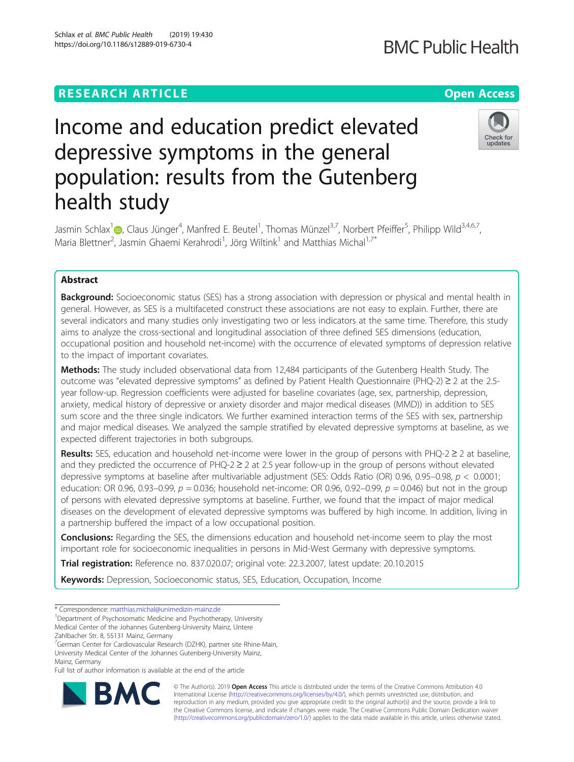# **RESEARCH ARTICLE Example 2018 12:30 THE Open Access**

# **BMC Public Health**

# Income and education predict elevated depressive symptoms in the general population: results from the Gutenberg health study



Jasmin Schlax<sup>1</sup>®[,](http://orcid.org/0000-0001-9201-9275) Claus Jünger<sup>4</sup>, Manfred E. Beutel<sup>1</sup>, Thomas Münzel<sup>3,7</sup>, Norbert Pfeiffer<sup>5</sup>, Philipp Wild<sup>3,4,6,7</sup>, Maria Blettner<sup>2</sup>, Jasmin Ghaemi Kerahrodi<sup>1</sup>, Jörg Wiltink<sup>1</sup> and Matthias Michal<sup>1,7\*</sup>

# Abstract

**Background:** Socioeconomic status (SES) has a strong association with depression or physical and mental health in general. However, as SES is a multifaceted construct these associations are not easy to explain. Further, there are several indicators and many studies only investigating two or less indicators at the same time. Therefore, this study aims to analyze the cross-sectional and longitudinal association of three defined SES dimensions (education, occupational position and household net-income) with the occurrence of elevated symptoms of depression relative to the impact of important covariates.

**Methods:** The study included observational data from 12,484 participants of the Gutenberg Health Study. The outcome was "elevated depressive symptoms" as defined by Patient Health Questionnaire (PHQ-2) ≥ 2 at the 2.5 year follow-up. Regression coefficients were adjusted for baseline covariates (age, sex, partnership, depression, anxiety, medical history of depressive or anxiety disorder and major medical diseases (MMD)) in addition to SES sum score and the three single indicators. We further examined interaction terms of the SES with sex, partnership and major medical diseases. We analyzed the sample stratified by elevated depressive symptoms at baseline, as we expected different trajectories in both subgroups.

Results: SES, education and household net-income were lower in the group of persons with PHQ-2  $\geq$  2 at baseline, and they predicted the occurrence of  $PHO-2 \geq 2$  at 2.5 year follow-up in the group of persons without elevated depressive symptoms at baseline after multivariable adjustment (SES: Odds Ratio (OR) 0.96, 0.95–0.98, p < 0.0001; education: OR 0.96, 0.93–0.99,  $p = 0.036$ ; household net-income: OR 0.96, 0.92–0.99,  $p = 0.046$ ) but not in the group of persons with elevated depressive symptoms at baseline. Further, we found that the impact of major medical diseases on the development of elevated depressive symptoms was buffered by high income. In addition, living in a partnership buffered the impact of a low occupational position.

**Conclusions:** Regarding the SES, the dimensions education and household net-income seem to play the most important role for socioeconomic inequalities in persons in Mid-West Germany with depressive symptoms.

Trial registration: Reference no. 837.020.07; original vote: 22.3.2007, latest update: 20.10.2015

Keywords: Depression, Socioeconomic status, SES, Education, Occupation, Income

\* Correspondence: [matthias.michal@unimedizin-mainz.de](mailto:matthias.michal@unimedizin-mainz.de) <sup>1</sup>

<sup>1</sup>Department of Psychosomatic Medicine and Psychotherapy, University Medical Center of the Johannes Gutenberg-University Mainz, Untere

Zahlbacher Str. 8, 55131 Mainz, Germany

<sup>7</sup>German Center for Cardiovascular Research (DZHK), partner site Rhine-Main, University Medical Center of the Johannes Gutenberg-University Mainz, Mainz, Germany

Full list of author information is available at the end of the article



© The Author(s). 2019 **Open Access** This article is distributed under the terms of the Creative Commons Attribution 4.0 International License [\(http://creativecommons.org/licenses/by/4.0/](http://creativecommons.org/licenses/by/4.0/)), which permits unrestricted use, distribution, and reproduction in any medium, provided you give appropriate credit to the original author(s) and the source, provide a link to the Creative Commons license, and indicate if changes were made. The Creative Commons Public Domain Dedication waiver [\(http://creativecommons.org/publicdomain/zero/1.0/](http://creativecommons.org/publicdomain/zero/1.0/)) applies to the data made available in this article, unless otherwise stated.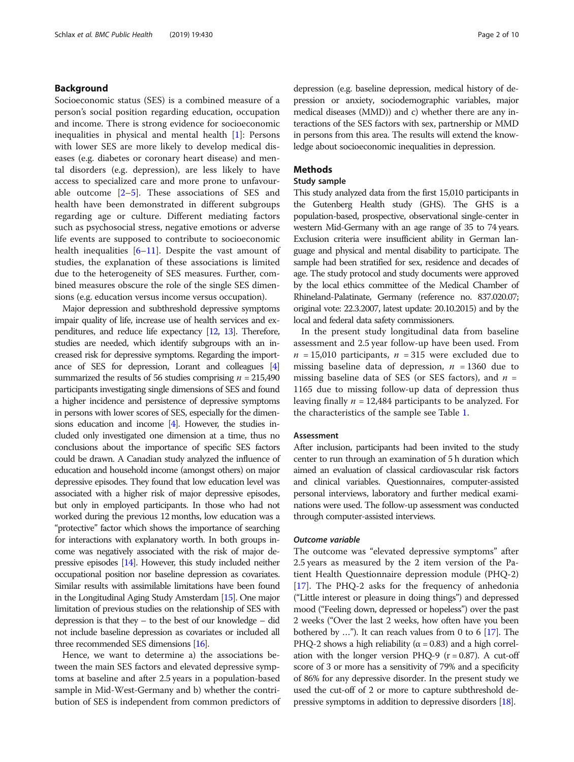# Background

Socioeconomic status (SES) is a combined measure of a person's social position regarding education, occupation and income. There is strong evidence for socioeconomic inequalities in physical and mental health [[1\]](#page-8-0): Persons with lower SES are more likely to develop medical diseases (e.g. diabetes or coronary heart disease) and mental disorders (e.g. depression), are less likely to have access to specialized care and more prone to unfavourable outcome [\[2](#page-8-0)–[5\]](#page-8-0). These associations of SES and health have been demonstrated in different subgroups regarding age or culture. Different mediating factors such as psychosocial stress, negative emotions or adverse life events are supposed to contribute to socioeconomic health inequalities  $[6-11]$  $[6-11]$  $[6-11]$ . Despite the vast amount of studies, the explanation of these associations is limited due to the heterogeneity of SES measures. Further, combined measures obscure the role of the single SES dimensions (e.g. education versus income versus occupation).

Major depression and subthreshold depressive symptoms impair quality of life, increase use of health services and expenditures, and reduce life expectancy [\[12](#page-8-0), [13\]](#page-8-0). Therefore, studies are needed, which identify subgroups with an increased risk for depressive symptoms. Regarding the importance of SES for depression, Lorant and colleagues [\[4](#page-8-0)] summarized the results of 56 studies comprising  $n = 215,490$ participants investigating single dimensions of SES and found a higher incidence and persistence of depressive symptoms in persons with lower scores of SES, especially for the dimensions education and income [\[4](#page-8-0)]. However, the studies included only investigated one dimension at a time, thus no conclusions about the importance of specific SES factors could be drawn. A Canadian study analyzed the influence of education and household income (amongst others) on major depressive episodes. They found that low education level was associated with a higher risk of major depressive episodes, but only in employed participants. In those who had not worked during the previous 12 months, low education was a "protective" factor which shows the importance of searching for interactions with explanatory worth. In both groups income was negatively associated with the risk of major depressive episodes [\[14](#page-8-0)]. However, this study included neither occupational position nor baseline depression as covariates. Similar results with assimilable limitations have been found in the Longitudinal Aging Study Amsterdam [\[15\]](#page-9-0). One major limitation of previous studies on the relationship of SES with depression is that they – to the best of our knowledge – did not include baseline depression as covariates or included all three recommended SES dimensions [\[16](#page-9-0)].

Hence, we want to determine a) the associations between the main SES factors and elevated depressive symptoms at baseline and after 2.5 years in a population-based sample in Mid-West-Germany and b) whether the contribution of SES is independent from common predictors of

depression (e.g. baseline depression, medical history of depression or anxiety, sociodemographic variables, major medical diseases (MMD)) and c) whether there are any interactions of the SES factors with sex, partnership or MMD in persons from this area. The results will extend the knowledge about socioeconomic inequalities in depression.

# Methods

# Study sample

This study analyzed data from the first 15,010 participants in the Gutenberg Health study (GHS). The GHS is a population-based, prospective, observational single-center in western Mid-Germany with an age range of 35 to 74 years. Exclusion criteria were insufficient ability in German language and physical and mental disability to participate. The sample had been stratified for sex, residence and decades of age. The study protocol and study documents were approved by the local ethics committee of the Medical Chamber of Rhineland-Palatinate, Germany (reference no. 837.020.07; original vote: 22.3.2007, latest update: 20.10.2015) and by the local and federal data safety commissioners.

In the present study longitudinal data from baseline assessment and 2.5 year follow-up have been used. From  $n = 15,010$  participants,  $n = 315$  were excluded due to missing baseline data of depression,  $n = 1360$  due to missing baseline data of SES (or SES factors), and  $n =$ 1165 due to missing follow-up data of depression thus leaving finally  $n = 12,484$  participants to be analyzed. For the characteristics of the sample see Table [1.](#page-2-0)

# **Assessment**

After inclusion, participants had been invited to the study center to run through an examination of 5 h duration which aimed an evaluation of classical cardiovascular risk factors and clinical variables. Questionnaires, computer-assisted personal interviews, laboratory and further medical examinations were used. The follow-up assessment was conducted through computer-assisted interviews.

# Outcome variable

The outcome was "elevated depressive symptoms" after 2.5 years as measured by the 2 item version of the Patient Health Questionnaire depression module (PHQ-2) [[17\]](#page-9-0). The PHQ-2 asks for the frequency of anhedonia ("Little interest or pleasure in doing things") and depressed mood ("Feeling down, depressed or hopeless") over the past 2 weeks ("Over the last 2 weeks, how often have you been bothered by …"). It can reach values from 0 to 6 [\[17\]](#page-9-0). The PHQ-2 shows a high reliability ( $α = 0.83$ ) and a high correlation with the longer version PHQ-9 ( $r = 0.87$ ). A cut-off score of 3 or more has a sensitivity of 79% and a specificity of 86% for any depressive disorder. In the present study we used the cut-off of 2 or more to capture subthreshold depressive symptoms in addition to depressive disorders [[18](#page-9-0)].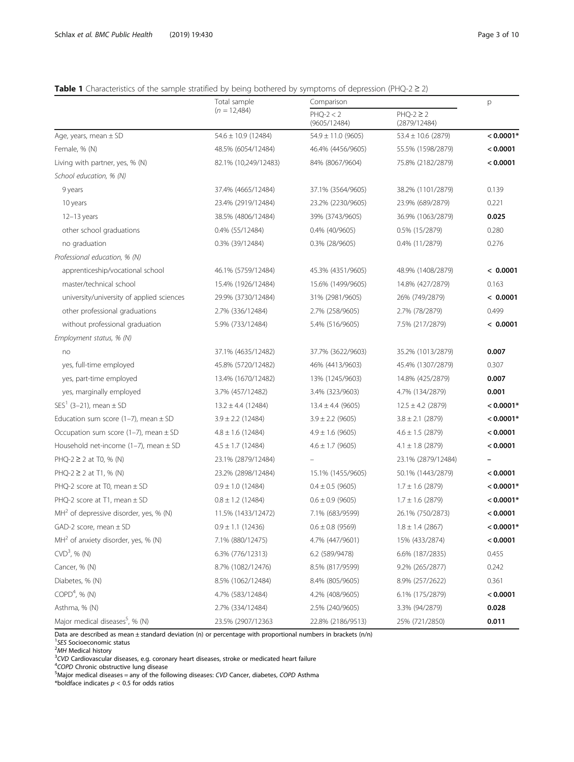# <span id="page-2-0"></span>Table 1 Characteristics of the sample stratified by being bothered by symptoms of depression (PHQ-2  $\geq$  2)

|                                             | Total sample            | Comparison                  | p                              |             |  |
|---------------------------------------------|-------------------------|-----------------------------|--------------------------------|-------------|--|
|                                             | $(n = 12,484)$          | $PHQ-2 < 2$<br>(9605/12484) | $PHQ-2 \geq 2$<br>(2879/12484) |             |  |
| Age, years, mean $\pm$ SD                   | $54.6 \pm 10.9$ (12484) | $54.9 \pm 11.0$ (9605)      | $53.4 \pm 10.6$ (2879)         | $< 0.0001*$ |  |
| Female, % (N)                               | 48.5% (6054/12484)      | 46.4% (4456/9605)           | 55.5% (1598/2879)              | < 0.0001    |  |
| Living with partner, yes, % (N)             | 82.1% (10,249/12483)    | 84% (8067/9604)             | 75.8% (2182/2879)              | < 0.0001    |  |
| School education, % (N)                     |                         |                             |                                |             |  |
| 9 years                                     | 37.4% (4665/12484)      | 37.1% (3564/9605)           | 38.2% (1101/2879)              | 0.139       |  |
| 10 years                                    | 23.4% (2919/12484)      | 23.2% (2230/9605)           | 23.9% (689/2879)               | 0.221       |  |
| 12-13 years                                 | 38.5% (4806/12484)      | 39% (3743/9605)             | 36.9% (1063/2879)              | 0.025       |  |
| other school graduations                    | 0.4% (55/12484)         | 0.4% (40/9605)              | 0.5% (15/2879)                 | 0.280       |  |
| no graduation                               | 0.3% (39/12484)         | 0.3% (28/9605)              | 0.4% (11/2879)                 | 0.276       |  |
| Professional education, % (N)               |                         |                             |                                |             |  |
| apprenticeship/vocational school            | 46.1% (5759/12484)      | 45.3% (4351/9605)           | 48.9% (1408/2879)              | < 0.0001    |  |
| master/technical school                     | 15.4% (1926/12484)      | 15.6% (1499/9605)           | 14.8% (427/2879)               | 0.163       |  |
| university/university of applied sciences   | 29.9% (3730/12484)      | 31% (2981/9605)             | 26% (749/2879)                 | < 0.0001    |  |
| other professional graduations              | 2.7% (336/12484)        | 2.7% (258/9605)             | 2.7% (78/2879)                 | 0.499       |  |
| without professional graduation             | 5.9% (733/12484)        | 5.4% (516/9605)             | 7.5% (217/2879)                | < 0.0001    |  |
| Employment status, % (N)                    |                         |                             |                                |             |  |
| no                                          | 37.1% (4635/12482)      | 37.7% (3622/9603)           | 35.2% (1013/2879)              | 0.007       |  |
| yes, full-time employed                     | 45.8% (5720/12482)      | 46% (4413/9603)             | 45.4% (1307/2879)              | 0.307       |  |
| yes, part-time employed                     | 13.4% (1670/12482)      | 13% (1245/9603)             | 14.8% (425/2879)               | 0.007       |  |
| yes, marginally employed                    | 3.7% (457/12482)        | 3.4% (323/9603)             | 4.7% (134/2879)                | 0.001       |  |
| SES <sup>1</sup> (3-21), mean $\pm$ SD      | $13.2 \pm 4.4$ (12484)  | $13.4 \pm 4.4$ (9605)       | $12.5 \pm 4.2$ (2879)          | $< 0.0001*$ |  |
| Education sum score (1-7), mean $\pm$ SD    | $3.9 \pm 2.2$ (12484)   | $3.9 \pm 2.2$ (9605)        | $3.8 \pm 2.1$ (2879)           | $< 0.0001*$ |  |
| Occupation sum score (1-7), mean $\pm$ SD   | $4.8 \pm 1.6$ (12484)   | $4.9 \pm 1.6$ (9605)        | $4.6 \pm 1.5$ (2879)           | < 0.0001    |  |
| Household net-income (1-7), mean $\pm$ SD   | $4.5 \pm 1.7$ (12484)   | $4.6 \pm 1.7$ (9605)        | $4.1 \pm 1.8$ (2879)           | < 0.0001    |  |
| PHQ-2 ≥ 2 at T0, % (N)                      | 23.1% (2879/12484)      |                             | 23.1% (2879/12484)             |             |  |
| PHQ-2 ≥ 2 at T1, % (N)                      | 23.2% (2898/12484)      | 15.1% (1455/9605)           | 50.1% (1443/2879)              | < 0.0001    |  |
| PHQ-2 score at T0, mean $\pm$ SD            | $0.9 \pm 1.0$ (12484)   | $0.4 \pm 0.5$ (9605)        | $1.7 \pm 1.6$ (2879)           | $< 0.0001*$ |  |
| PHQ-2 score at T1, mean $\pm$ SD            | $0.8 \pm 1.2$ (12484)   | $0.6 \pm 0.9$ (9605)        | $1.7 \pm 1.6$ (2879)           | $< 0.0001*$ |  |
| $MH2$ of depressive disorder, yes, % (N)    | 11.5% (1433/12472)      | 7.1% (683/9599)             | 26.1% (750/2873)               | < 0.0001    |  |
| $GAD-2$ score, mean $\pm$ SD                | $0.9 \pm 1.1$ (12436)   | $0.6 \pm 0.8$ (9569)        | $1.8 \pm 1.4$ (2867)           | $< 0.0001*$ |  |
| $MH2$ of anxiety disorder, yes, % (N)       | 7.1% (880/12475)        | 4.7% (447/9601)             | 15% (433/2874)                 | < 0.0001    |  |
| $CVD3$ , % (N)                              | 6.3% (776/12313)        | 6.2 (589/9478)              | 6.6% (187/2835)                | 0.455       |  |
| Cancer, % (N)                               | 8.7% (1082/12476)       | 8.5% (817/9599)             | 9.2% (265/2877)                | 0.242       |  |
| Diabetes, % (N)                             | 8.5% (1062/12484)       | 8.4% (805/9605)             | 8.9% (257/2622)                | 0.361       |  |
| COPD <sup>4</sup> , % (N)                   | 4.7% (583/12484)        | 4.2% (408/9605)             | 6.1% (175/2879)                | < 0.0001    |  |
| Asthma, % (N)                               | 2.7% (334/12484)        | 2.5% (240/9605)             | 3.3% (94/2879)                 | 0.028       |  |
| Major medical diseases <sup>5</sup> , % (N) | 23.5% (2907/12363       | 22.8% (2186/9513)           | 25% (721/2850)                 | 0.011       |  |

Data are described as mean ± standard deviation (n) or percentage with proportional numbers in brackets (n/n)

<sup>1</sup>SES Socioeconomic status <sup>'</sup>SES Socioeconomic status<br><sup>2</sup>MH Medical bistory

<sup>2</sup>MH Medical history<br><sup>3</sup>CVD Cardiovascular

<sup>3</sup>CVD Cardiovascular diseases, e.g. coronary heart diseases, stroke or medicated heart failure<br><sup>4</sup>COPD Chronic obstructive lung disease

"COPD Chronic obstructive lung disease<br><sup>5</sup>Major medical diseases = any of the following diseases: CVD Cancer, diabetes, COPD Asthma

\*boldface indicates  $p < 0.5$  for odds ratios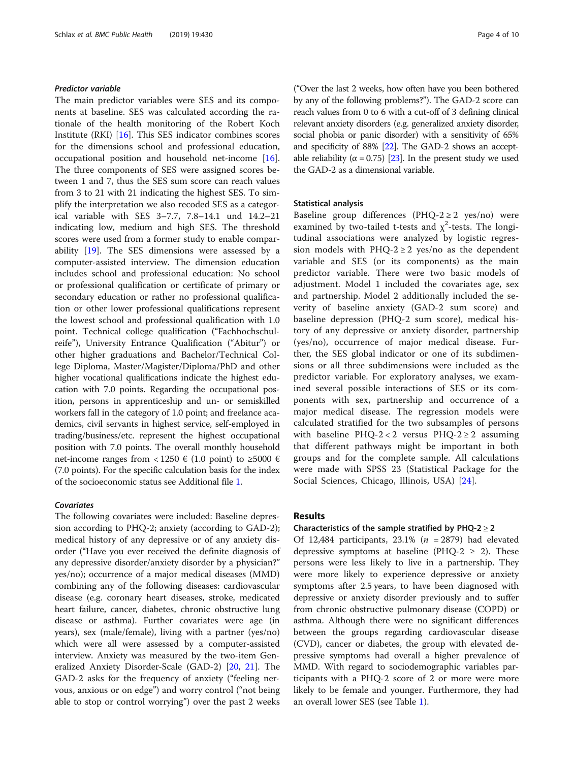# Predictor variable

The main predictor variables were SES and its components at baseline. SES was calculated according the rationale of the health monitoring of the Robert Koch Institute (RKI) [\[16](#page-9-0)]. This SES indicator combines scores for the dimensions school and professional education, occupational position and household net-income [\[16](#page-9-0)]. The three components of SES were assigned scores between 1 and 7, thus the SES sum score can reach values from 3 to 21 with 21 indicating the highest SES. To simplify the interpretation we also recoded SES as a categorical variable with SES 3–7.7, 7.8–14.1 und 14.2–21 indicating low, medium and high SES. The threshold scores were used from a former study to enable comparability [\[19](#page-9-0)]. The SES dimensions were assessed by a computer-assisted interview. The dimension education includes school and professional education: No school or professional qualification or certificate of primary or secondary education or rather no professional qualification or other lower professional qualifications represent the lowest school and professional qualification with 1.0 point. Technical college qualification ("Fachhochschulreife"), University Entrance Qualification ("Abitur") or other higher graduations and Bachelor/Technical College Diploma, Master/Magister/Diploma/PhD and other higher vocational qualifications indicate the highest education with 7.0 points. Regarding the occupational position, persons in apprenticeship and un- or semiskilled workers fall in the category of 1.0 point; and freelance academics, civil servants in highest service, self-employed in trading/business/etc. represent the highest occupational position with 7.0 points. The overall monthly household net-income ranges from < 1250 € (1.0 point) to ≥5000 € (7.0 points). For the specific calculation basis for the index of the socioeconomic status see Additional file [1.](#page-8-0)

# **Covariates**

The following covariates were included: Baseline depression according to PHQ-2; anxiety (according to GAD-2); medical history of any depressive or of any anxiety disorder ("Have you ever received the definite diagnosis of any depressive disorder/anxiety disorder by a physician?" yes/no); occurrence of a major medical diseases (MMD) combining any of the following diseases: cardiovascular disease (e.g. coronary heart diseases, stroke, medicated heart failure, cancer, diabetes, chronic obstructive lung disease or asthma). Further covariates were age (in years), sex (male/female), living with a partner (yes/no) which were all were assessed by a computer-assisted interview. Anxiety was measured by the two-item Generalized Anxiety Disorder-Scale (GAD-2) [[20,](#page-9-0) [21](#page-9-0)]. The GAD-2 asks for the frequency of anxiety ("feeling nervous, anxious or on edge") and worry control ("not being able to stop or control worrying") over the past 2 weeks

("Over the last 2 weeks, how often have you been bothered by any of the following problems?"). The GAD-2 score can reach values from 0 to 6 with a cut-off of 3 defining clinical relevant anxiety disorders (e.g. generalized anxiety disorder, social phobia or panic disorder) with a sensitivity of 65% and specificity of 88% [\[22\]](#page-9-0). The GAD-2 shows an acceptable reliability ( $\alpha$  = 0.75) [\[23\]](#page-9-0). In the present study we used the GAD-2 as a dimensional variable.

# Statistical analysis

Baseline group differences (PHQ-2  $\geq$  2 yes/no) were examined by two-tailed t-tests and  $\chi^2$ -tests. The longitudinal associations were analyzed by logistic regression models with PHQ-2  $\geq$  2 yes/no as the dependent variable and SES (or its components) as the main predictor variable. There were two basic models of adjustment. Model 1 included the covariates age, sex and partnership. Model 2 additionally included the severity of baseline anxiety (GAD-2 sum score) and baseline depression (PHQ-2 sum score), medical history of any depressive or anxiety disorder, partnership (yes/no), occurrence of major medical disease. Further, the SES global indicator or one of its subdimensions or all three subdimensions were included as the predictor variable. For exploratory analyses, we examined several possible interactions of SES or its components with sex, partnership and occurrence of a major medical disease. The regression models were calculated stratified for the two subsamples of persons with baseline PHQ-2 < 2 versus PHQ-2  $\ge$  2 assuming that different pathways might be important in both groups and for the complete sample. All calculations were made with SPSS 23 (Statistical Package for the Social Sciences, Chicago, Illinois, USA) [\[24](#page-9-0)].

# Results

# Characteristics of the sample stratified by PHQ-2 $\geq$  2

Of 12,484 participants, 23.1% ( $n = 2879$ ) had elevated depressive symptoms at baseline (PHQ-2  $\ge$  2). These persons were less likely to live in a partnership. They were more likely to experience depressive or anxiety symptoms after 2.5 years, to have been diagnosed with depressive or anxiety disorder previously and to suffer from chronic obstructive pulmonary disease (COPD) or asthma. Although there were no significant differences between the groups regarding cardiovascular disease (CVD), cancer or diabetes, the group with elevated depressive symptoms had overall a higher prevalence of MMD. With regard to sociodemographic variables participants with a PHQ-2 score of 2 or more were more likely to be female and younger. Furthermore, they had an overall lower SES (see Table [1\)](#page-2-0).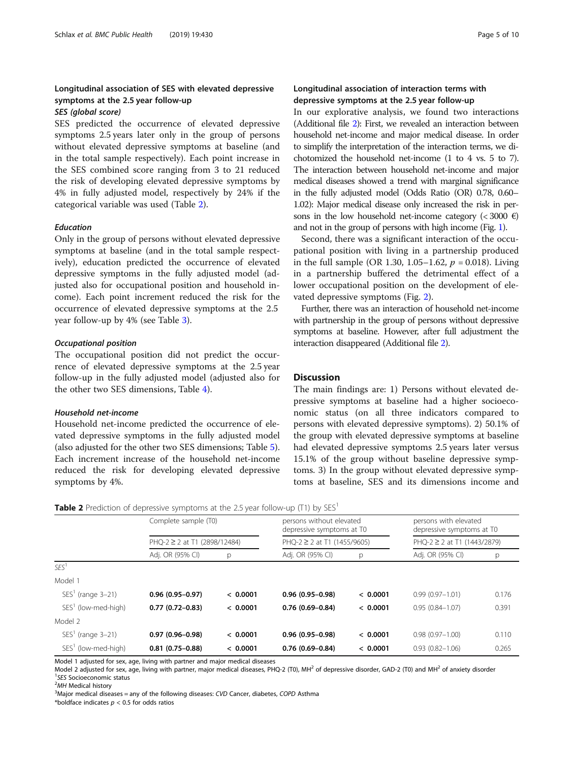# Longitudinal association of SES with elevated depressive symptoms at the 2.5 year follow-up

# SES (global score)

SES predicted the occurrence of elevated depressive symptoms 2.5 years later only in the group of persons without elevated depressive symptoms at baseline (and in the total sample respectively). Each point increase in the SES combined score ranging from 3 to 21 reduced the risk of developing elevated depressive symptoms by 4% in fully adjusted model, respectively by 24% if the categorical variable was used (Table 2).

# Education

Only in the group of persons without elevated depressive symptoms at baseline (and in the total sample respectively), education predicted the occurrence of elevated depressive symptoms in the fully adjusted model (adjusted also for occupational position and household income). Each point increment reduced the risk for the occurrence of elevated depressive symptoms at the 2.5 year follow-up by 4% (see Table [3\)](#page-5-0).

# Occupational position

The occupational position did not predict the occurrence of elevated depressive symptoms at the 2.5 year follow-up in the fully adjusted model (adjusted also for the other two SES dimensions, Table [4\)](#page-5-0).

# Household net-income

Household net-income predicted the occurrence of elevated depressive symptoms in the fully adjusted model (also adjusted for the other two SES dimensions; Table [5](#page-6-0)). Each increment increase of the household net-income reduced the risk for developing elevated depressive symptoms by 4%.

# Longitudinal association of interaction terms with depressive symptoms at the 2.5 year follow-up

In our explorative analysis, we found two interactions (Additional file [2](#page-8-0)): First, we revealed an interaction between household net-income and major medical disease. In order to simplify the interpretation of the interaction terms, we dichotomized the household net-income (1 to 4 vs. 5 to 7). The interaction between household net-income and major medical diseases showed a trend with marginal significance in the fully adjusted model (Odds Ratio (OR) 0.78, 0.60– 1.02): Major medical disease only increased the risk in persons in the low household net-income category ( $<$  3000 €) and not in the group of persons with high income (Fig. [1\)](#page-6-0).

Second, there was a significant interaction of the occupational position with living in a partnership produced in the full sample (OR 1.30, 1.05–1.62,  $p = 0.018$ ). Living in a partnership buffered the detrimental effect of a lower occupational position on the development of elevated depressive symptoms (Fig. [2\)](#page-7-0).

Further, there was an interaction of household net-income with partnership in the group of persons without depressive symptoms at baseline. However, after full adjustment the interaction disappeared (Additional file [2](#page-8-0)).

# **Discussion**

The main findings are: 1) Persons without elevated depressive symptoms at baseline had a higher socioeconomic status (on all three indicators compared to persons with elevated depressive symptoms). 2) 50.1% of the group with elevated depressive symptoms at baseline had elevated depressive symptoms 2.5 years later versus 15.1% of the group without baseline depressive symptoms. 3) In the group without elevated depressive symptoms at baseline, SES and its dimensions income and

**Table 2** Prediction of depressive symptoms at the 2.5 year follow-up (T1) by  $SFS<sup>1</sup>$ 

|                                 | Complete sample (T0)<br>PHO-2 ≥ 2 at T1 (2898/12484) |          | persons without elevated<br>depressive symptoms at T0<br>$PHO-2 \geq 2$ at T1 (1455/9605) |          | persons with elevated<br>depressive symptoms at T0<br>PHO-2 $\geq$ 2 at T1 (1443/2879) |       |
|---------------------------------|------------------------------------------------------|----------|-------------------------------------------------------------------------------------------|----------|----------------------------------------------------------------------------------------|-------|
|                                 |                                                      |          |                                                                                           |          |                                                                                        |       |
|                                 | Adj. OR (95% CI)                                     | p        | Adj. OR (95% CI)                                                                          | p        | Adj. OR (95% CI)                                                                       | p     |
| SFS <sup>1</sup>                |                                                      |          |                                                                                           |          |                                                                                        |       |
| Model 1                         |                                                      |          |                                                                                           |          |                                                                                        |       |
| $SEST$ (range 3-21)             | $0.96(0.95 - 0.97)$                                  | < 0.0001 | $0.96(0.95 - 0.98)$                                                                       | < 0.0001 | $0.99(0.97 - 1.01)$                                                                    | 0.176 |
| SES <sup>1</sup> (low-med-high) | $0.77(0.72 - 0.83)$                                  | < 0.0001 | $0.76(0.69 - 0.84)$                                                                       | < 0.0001 | $0.95(0.84 - 1.07)$                                                                    | 0.391 |
| Model 2                         |                                                      |          |                                                                                           |          |                                                                                        |       |
| $SEST$ (range 3-21)             | $0.97(0.96 - 0.98)$                                  | < 0.0001 | $0.96(0.95 - 0.98)$                                                                       | < 0.0001 | $0.98(0.97 - 1.00)$                                                                    | 0.110 |
| SES' (low-med-high)             | $0.81(0.75-0.88)$                                    | < 0.0001 | $0.76(0.69 - 0.84)$                                                                       | < 0.0001 | $0.93(0.82 - 1.06)$                                                                    | 0.265 |

Model 1 adjusted for sex, age, living with partner and major medical diseases

Model 2 adjusted for sex, age, living with partner, major medical diseases, PHQ-2 (T0), MH<sup>2</sup> of depressive disorder, GAD-2 (T0) and MH<sup>2</sup> of anxiety disorder <sup>1</sup>SES Socioeconomic status<br><sup>2</sup>MH Medical historv

<sup>2</sup>MH Medical history<br><sup>3</sup>Major medical diseases = any of the following diseases: CVD Cancer, diabetes, COPD Asthma

\*boldface indicates  $p < 0.5$  for odds ratios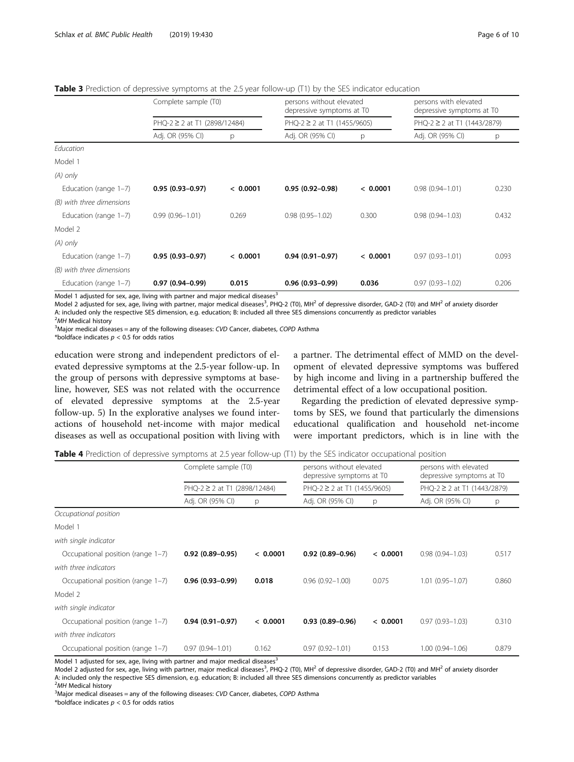| . . <u>.</u> .<br>- | - - - |
|---------------------|-------|
|                     |       |
|                     |       |
|                     |       |

<span id="page-5-0"></span>Table 3 Prediction of depressive symptoms at the 2.5 year follow-up (T1) by the SES indicator education

|                           | Complete sample (T0)<br>PHQ-2 ≥ 2 at T1 (2898/12484) |          | persons without elevated<br>depressive symptoms at T0<br>$PHQ-2 \geq 2$ at T1 (1455/9605) |          | persons with elevated<br>depressive symptoms at T0<br>$PHQ-2 \geq 2$ at T1 (1443/2879) |       |
|---------------------------|------------------------------------------------------|----------|-------------------------------------------------------------------------------------------|----------|----------------------------------------------------------------------------------------|-------|
|                           |                                                      |          |                                                                                           |          |                                                                                        |       |
|                           | Adj. OR (95% CI)                                     | p        | Adj. OR (95% CI)                                                                          | p        | Adj. OR (95% CI)                                                                       | p     |
| Education                 |                                                      |          |                                                                                           |          |                                                                                        |       |
| Model 1                   |                                                      |          |                                                                                           |          |                                                                                        |       |
| $(A)$ only                |                                                      |          |                                                                                           |          |                                                                                        |       |
| Education (range 1-7)     | $0.95(0.93 - 0.97)$                                  | < 0.0001 | $0.95(0.92 - 0.98)$                                                                       | < 0.0001 | $0.98(0.94 - 1.01)$                                                                    | 0.230 |
| (B) with three dimensions |                                                      |          |                                                                                           |          |                                                                                        |       |
| Education (range 1-7)     | $0.99(0.96 - 1.01)$                                  | 0.269    | $0.98(0.95 - 1.02)$                                                                       | 0.300    | $0.98(0.94 - 1.03)$                                                                    | 0.432 |
| Model 2                   |                                                      |          |                                                                                           |          |                                                                                        |       |
| $(A)$ only                |                                                      |          |                                                                                           |          |                                                                                        |       |
| Education (range 1-7)     | $0.95(0.93 - 0.97)$                                  | < 0.0001 | $0.94(0.91-0.97)$                                                                         | < 0.0001 | $0.97(0.93 - 1.01)$                                                                    | 0.093 |
| (B) with three dimensions |                                                      |          |                                                                                           |          |                                                                                        |       |
| Education (range 1-7)     | $0.97(0.94 - 0.99)$                                  | 0.015    | $0.96(0.93 - 0.99)$                                                                       | 0.036    | $0.97(0.93 - 1.02)$                                                                    | 0.206 |

Model 1 adjusted for sex, age, living with partner and major medical diseases $3$ 

Model 2 adjusted for sex, age, living with partner, major medical diseases<sup>3</sup>, PHQ-2 (T0), MH<sup>2</sup> of depressive disorder, GAD-2 (T0) and MH<sup>2</sup> of anxiety disorder A: included only the respective SES dimension, e.g. education; B: included all three SES dimensions concurrently as predictor variables

<sup>2</sup>MH Medical history  $3$ Major medical diseases = any of the following diseases: CVD Cancer, diabetes, COPD Asthma

\*boldface indicates  $p < 0.5$  for odds ratios

education were strong and independent predictors of elevated depressive symptoms at the 2.5-year follow-up. In the group of persons with depressive symptoms at baseline, however, SES was not related with the occurrence of elevated depressive symptoms at the 2.5-year follow-up. 5) In the explorative analyses we found interactions of household net-income with major medical diseases as well as occupational position with living with a partner. The detrimental effect of MMD on the development of elevated depressive symptoms was buffered by high income and living in a partnership buffered the detrimental effect of a low occupational position.

Regarding the prediction of elevated depressive symptoms by SES, we found that particularly the dimensions educational qualification and household net-income were important predictors, which is in line with the

Table 4 Prediction of depressive symptoms at 2.5 year follow-up (T1) by the SES indicator occupational position

|                                   | Complete sample (T0)<br>$PHQ-2 \geq 2$ at T1 (2898/12484) |          | persons without elevated<br>depressive symptoms at T0<br>$PHQ-2 \geq 2$ at T1 (1455/9605) |          | persons with elevated<br>depressive symptoms at T0<br>$PHQ-2 \geq 2$ at T1 (1443/2879) |       |
|-----------------------------------|-----------------------------------------------------------|----------|-------------------------------------------------------------------------------------------|----------|----------------------------------------------------------------------------------------|-------|
|                                   |                                                           |          |                                                                                           |          |                                                                                        |       |
|                                   | Adj. OR (95% CI)                                          | p        | Adj. OR (95% CI)                                                                          | p        | Adj. OR (95% CI)                                                                       | p     |
| Occupational position             |                                                           |          |                                                                                           |          |                                                                                        |       |
| Model 1                           |                                                           |          |                                                                                           |          |                                                                                        |       |
| with single indicator             |                                                           |          |                                                                                           |          |                                                                                        |       |
| Occupational position (range 1-7) | $0.92(0.89 - 0.95)$                                       | < 0.0001 | $0.92(0.89 - 0.96)$                                                                       | < 0.0001 | $0.98(0.94 - 1.03)$                                                                    | 0.517 |
| with three indicators             |                                                           |          |                                                                                           |          |                                                                                        |       |
| Occupational position (range 1-7) | $0.96(0.93 - 0.99)$                                       | 0.018    | $0.96(0.92 - 1.00)$                                                                       | 0.075    | $1.01(0.95 - 1.07)$                                                                    | 0.860 |
| Model 2                           |                                                           |          |                                                                                           |          |                                                                                        |       |
| with single indicator             |                                                           |          |                                                                                           |          |                                                                                        |       |
| Occupational position (range 1-7) | $0.94(0.91 - 0.97)$                                       | < 0.0001 | $0.93(0.89 - 0.96)$                                                                       | < 0.0001 | $0.97(0.93 - 1.03)$                                                                    | 0.310 |
| with three indicators             |                                                           |          |                                                                                           |          |                                                                                        |       |
| Occupational position (range 1-7) | $0.97(0.94 - 1.01)$                                       | 0.162    | $0.97(0.92 - 1.01)$                                                                       | 0.153    | $1.00(0.94 - 1.06)$                                                                    | 0.879 |

Model 1 adjusted for sex, age, living with partner and major medical diseases $^3$ 

Model 2 adjusted for sex, age, living with partner, major medical diseases<sup>3</sup>, PHQ-2 (T0), MH<sup>2</sup> of depressive disorder, GAD-2 (T0) and MH<sup>2</sup> of anxiety disorder A: included only the respective SES dimension, e.g. education; B: included all three SES dimensions concurrently as predictor variables <sup>2</sup>MH Medical history

<sup>2</sup>MH Medical history<br><sup>3</sup>Major medical diseases = any of the following diseases: CVD Cancer, diabetes, COPD Asthma

\*boldface indicates  $p < 0.5$  for odds ratios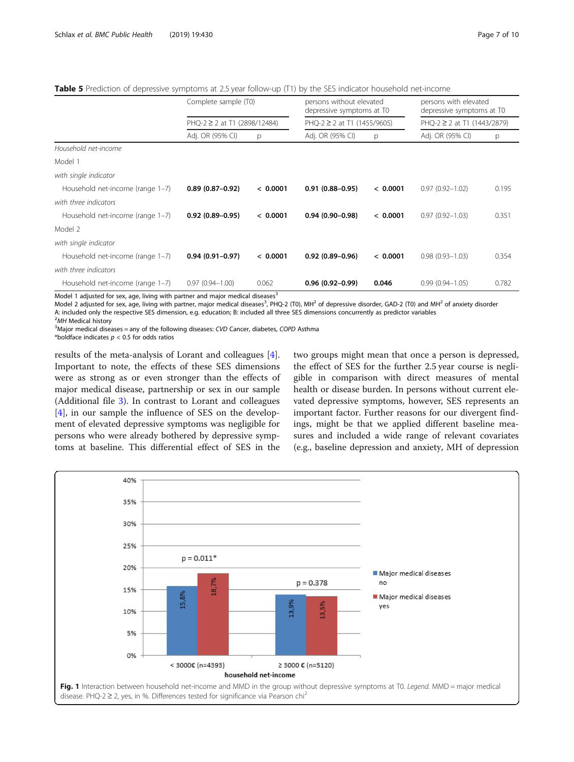<span id="page-6-0"></span>Table 5 Prediction of depressive symptoms at 2.5 year follow-up (T1) by the SES indicator household net-income

|                                  | Complete sample (T0)<br>PHQ-2 ≥ 2 at T1 (2898/12484) |          | persons without elevated<br>depressive symptoms at T0<br>$PHQ-2 \geq 2$ at T1 (1455/9605) |          | persons with elevated<br>depressive symptoms at T0<br>PHQ-2 $\geq$ 2 at T1 (1443/2879) |       |
|----------------------------------|------------------------------------------------------|----------|-------------------------------------------------------------------------------------------|----------|----------------------------------------------------------------------------------------|-------|
|                                  |                                                      |          |                                                                                           |          |                                                                                        |       |
|                                  | Adj. OR (95% CI)                                     | p        | Adj. OR (95% CI)                                                                          | p        | Adj. OR (95% CI)                                                                       | p     |
| Household net-income             |                                                      |          |                                                                                           |          |                                                                                        |       |
| Model 1                          |                                                      |          |                                                                                           |          |                                                                                        |       |
| with single indicator            |                                                      |          |                                                                                           |          |                                                                                        |       |
| Household net-income (range 1-7) | $0.89(0.87-0.92)$                                    | < 0.0001 | $0.91(0.88 - 0.95)$                                                                       | < 0.0001 | $0.97(0.92 - 1.02)$                                                                    | 0.195 |
| with three indicators            |                                                      |          |                                                                                           |          |                                                                                        |       |
| Household net-income (range 1-7) | $0.92(0.89 - 0.95)$                                  | < 0.0001 | $0.94(0.90 - 0.98)$                                                                       | < 0.0001 | $0.97(0.92 - 1.03)$                                                                    | 0.351 |
| Model 2                          |                                                      |          |                                                                                           |          |                                                                                        |       |
| with single indicator            |                                                      |          |                                                                                           |          |                                                                                        |       |
| Household net-income (range 1-7) | $0.94(0.91 - 0.97)$                                  | < 0.0001 | $0.92(0.89 - 0.96)$                                                                       | < 0.0001 | $0.98(0.93 - 1.03)$                                                                    | 0.354 |
| with three indicators            |                                                      |          |                                                                                           |          |                                                                                        |       |
| Household net-income (range 1-7) | $0.97(0.94 - 1.00)$                                  | 0.062    | $0.96(0.92 - 0.99)$                                                                       | 0.046    | $0.99(0.94 - 1.05)$                                                                    | 0.782 |

Model 1 adjusted for sex, age, living with partner and major medical diseases $3$ 

Model 2 adjusted for sex, age, living with partner, major medical diseases<sup>3</sup>, PHQ-2 (T0), MH<sup>2</sup> of depressive disorder, GAD-2 (T0) and MH<sup>2</sup> of anxiety disorder A: included only the respective SES dimension, e.g. education; B: included all three SES dimensions concurrently as predictor variables

<sup>2</sup>MH Medical history  $3$ Major medical diseases = any of the following diseases: CVD Cancer, diabetes, COPD Asthma

\*boldface indicates  $p < 0.5$  for odds ratios

results of the meta-analysis of Lorant and colleagues [\[4](#page-8-0)]. Important to note, the effects of these SES dimensions were as strong as or even stronger than the effects of major medical disease, partnership or sex in our sample (Additional file [3](#page-8-0)). In contrast to Lorant and colleagues [[4\]](#page-8-0), in our sample the influence of SES on the development of elevated depressive symptoms was negligible for persons who were already bothered by depressive symptoms at baseline. This differential effect of SES in the

two groups might mean that once a person is depressed, the effect of SES for the further 2.5 year course is negligible in comparison with direct measures of mental health or disease burden. In persons without current elevated depressive symptoms, however, SES represents an important factor. Further reasons for our divergent findings, might be that we applied different baseline measures and included a wide range of relevant covariates (e.g., baseline depression and anxiety, MH of depression

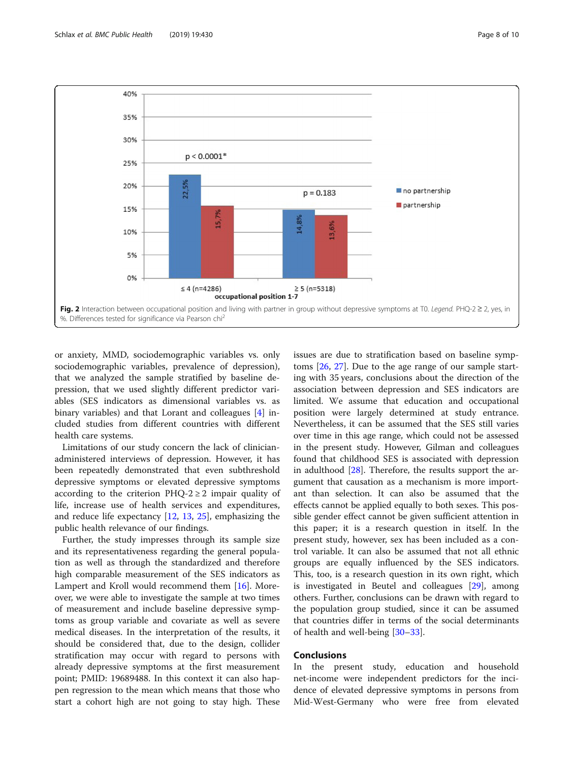<span id="page-7-0"></span>

or anxiety, MMD, sociodemographic variables vs. only sociodemographic variables, prevalence of depression), that we analyzed the sample stratified by baseline depression, that we used slightly different predictor variables (SES indicators as dimensional variables vs. as binary variables) and that Lorant and colleagues [[4\]](#page-8-0) included studies from different countries with different health care systems.

Limitations of our study concern the lack of clinicianadministered interviews of depression. However, it has been repeatedly demonstrated that even subthreshold depressive symptoms or elevated depressive symptoms according to the criterion PHQ-2  $\geq$  2 impair quality of life, increase use of health services and expenditures, and reduce life expectancy [[12,](#page-8-0) [13,](#page-8-0) [25](#page-9-0)], emphasizing the public health relevance of our findings.

Further, the study impresses through its sample size and its representativeness regarding the general population as well as through the standardized and therefore high comparable measurement of the SES indicators as Lampert and Kroll would recommend them [\[16\]](#page-9-0). Moreover, we were able to investigate the sample at two times of measurement and include baseline depressive symptoms as group variable and covariate as well as severe medical diseases. In the interpretation of the results, it should be considered that, due to the design, collider stratification may occur with regard to persons with already depressive symptoms at the first measurement point; PMID: 19689488. In this context it can also happen regression to the mean which means that those who start a cohort high are not going to stay high. These

issues are due to stratification based on baseline symptoms [\[26](#page-9-0), [27\]](#page-9-0). Due to the age range of our sample starting with 35 years, conclusions about the direction of the association between depression and SES indicators are limited. We assume that education and occupational position were largely determined at study entrance. Nevertheless, it can be assumed that the SES still varies over time in this age range, which could not be assessed in the present study. However, Gilman and colleagues found that childhood SES is associated with depression in adulthood [\[28](#page-9-0)]. Therefore, the results support the argument that causation as a mechanism is more important than selection. It can also be assumed that the effects cannot be applied equally to both sexes. This possible gender effect cannot be given sufficient attention in this paper; it is a research question in itself. In the present study, however, sex has been included as a control variable. It can also be assumed that not all ethnic groups are equally influenced by the SES indicators. This, too, is a research question in its own right, which is investigated in Beutel and colleagues [\[29](#page-9-0)], among others. Further, conclusions can be drawn with regard to the population group studied, since it can be assumed that countries differ in terms of the social determinants of health and well-being [\[30](#page-9-0)–[33\]](#page-9-0).

# Conclusions

In the present study, education and household net-income were independent predictors for the incidence of elevated depressive symptoms in persons from Mid-West-Germany who were free from elevated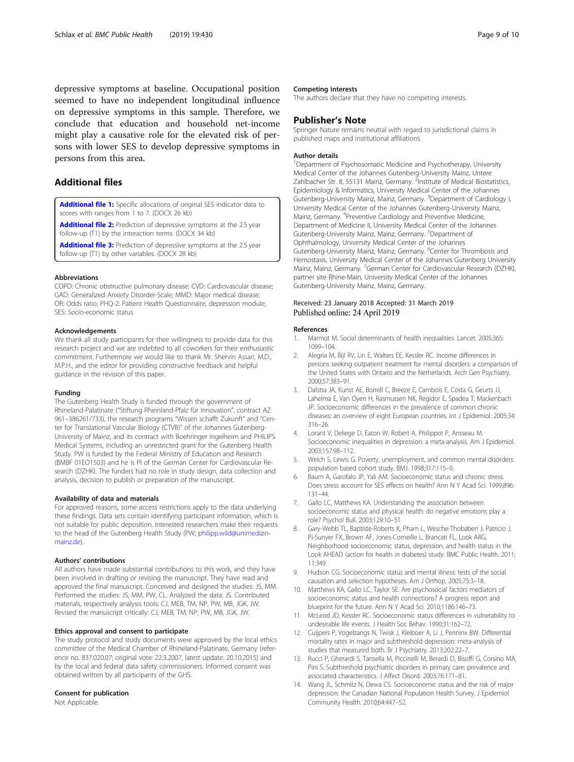<span id="page-8-0"></span>depressive symptoms at baseline. Occupational position seemed to have no independent longitudinal influence on depressive symptoms in this sample. Therefore, we conclude that education and household net-income might play a causative role for the elevated risk of persons with lower SES to develop depressive symptoms in persons from this area.

# Additional files

[Additional file 1:](https://doi.org/10.1186/s12889-019-6730-4) Specific allocations of original SES indicator data to scores with ranges from 1 to 7. (DOCX 26 kb)

[Additional file 2:](https://doi.org/10.1186/s12889-019-6730-4) Prediction of depressive symptoms at the 2.5 year follow-up (T1) by the interaction terms. (DOCX 34 kb)

[Additional file 3:](https://doi.org/10.1186/s12889-019-6730-4) Prediction of depressive symptoms at the 2.5 year follow-up (T1) by other variables. (DOCX 28 kb)

# Abbreviations

COPD: Chronic obstructive pulmonary disease; CVD: Cardiovascular disease; GAD: Generalized Anxiety Disorder-Scale; MMD: Major medical disease; OR: Odds ratio; PHQ-2: Patient Health Questionnaire, depression module; SES: Socio-economic status

### Acknowledgements

We thank all study participants for their willingness to provide data for this research project and we are indebted to all coworkers for their enthusiastic commitment. Furthermore we would like to thank Mr. Shervin Assari, M.D., M.P.H., and the editor for providing constructive feedback and helpful guidance in the revision of this paper.

### Funding

The Gutenberg Health Study is funded through the government of Rhineland-Palatinate ("Stiftung Rheinland-Pfalz für Innovation", contract AZ 961–386261/733), the research programs "Wissen schafft Zukunft" and "Center for Translational Vascular Biology (CTVB)" of the Johannes Gutenberg-University of Mainz, and its contract with Boehringer Ingelheim and PHILIPS Medical Systems, including an unrestricted grant for the Gutenberg Health Study. PW is funded by the Federal Ministry of Education and Research (BMBF 01EO1503) and he is PI of the German Center for Cardiovascular Research (DZHK). The funders had no role in study design, data collection and analysis, decision to publish or preparation of the manuscript.

#### Availability of data and materials

For approved reasons, some access restrictions apply to the data underlying these findings. Data sets contain identifying participant information, which is not suitable for public deposition. Interested researchers make their requests to the head of the Gutenberg Health Study (PW; [philipp.wild@unimedizin](mailto:philipp.wild@unimedizin-mainz.de)[mainz.de\)](mailto:philipp.wild@unimedizin-mainz.de).

# Authors' contributions

All authors have made substantial contributions to this work, and they have been involved in drafting or revising the manuscript. They have read and approved the final manuscript. Conceived and designed the studies: JS, MM. Performed the studies: JS, MM, PW, CL. Analyzed the data: JS. Contributed materials, respectively analysis tools: CJ, MEB, TM, NP, PW, MB, JGK, JW. Revised the manuscript critically: CJ, MEB, TM, NP, PW, MB, JGK, JW.

# Ethics approval and consent to participate

The study protocol and study documents were approved by the local ethics committee of the Medical Chamber of Rhineland-Palatinate, Germany (reference no. 837.020.07; original vote: 22.3.2007, latest update: 20.10.2015) and by the local and federal data safety commissioners. Informed consent was obtained written by all participants of the GHS.

# Consent for publication

Not Applicable.

# Competing interests

The authors declare that they have no competing interests.

# Publisher's Note

Springer Nature remains neutral with regard to jurisdictional claims in published maps and institutional affiliations.

# Author details

<sup>1</sup>Department of Psychosomatic Medicine and Psychotherapy, University Medical Center of the Johannes Gutenberg-University Mainz, Untere Zahlbacher Str. 8, 55131 Mainz, Germany. <sup>2</sup>Institute of Medical Biostatistics Epidemiology & Informatics, University Medical Center of the Johannes Gutenberg-University Mainz, Mainz, Germany. <sup>3</sup>Department of Cardiology I, University Medical Center of the Johannes Gutenberg-University Mainz, Mainz, Germany. <sup>4</sup> Preventive Cardiology and Preventive Medicine, Department of Medicine II, University Medical Center of the Johannes Gutenberg-University Mainz, Mainz, Germany. <sup>5</sup>Department of Ophthalmology, University Medical Center of the Johannes Gutenberg-University Mainz, Mainz, Germany. <sup>6</sup>Center for Thrombosis and Hemostasis, University Medical Center of the Johannes Gutenberg University Mainz, Mainz, Germany. <sup>7</sup> German Center for Cardiovascular Research (DZHK) partner site Rhine-Main, University Medical Center of the Johannes Gutenberg-University Mainz, Mainz, Germany.

# Received: 23 January 2018 Accepted: 31 March 2019 Published online: 24 April 2019

## References

- 1. Marmot M. Social determinants of health inequalities. Lancet. 2005;365: 1099–104.
- 2. Alegria M, Bijl RV, Lin E, Walters EE, Kessler RC. Income differences in persons seeking outpatient treatment for mental disorders: a comparison of the United States with Ontario and the Netherlands. Arch Gen Psychiatry. 2000;57:383–91.
- 3. Dalstra JA, Kunst AE, Borrell C, Breeze E, Cambois E, Costa G, Geurts JJ, Lahelma E, Van Oyen H, Rasmussen NK, Regidor E, Spadea T, Mackenbach JP. Socioeconomic differences in the prevalence of common chronic diseases: an overview of eight European countries. Int J Epidemiol. 2005;34: 316–26.
- 4. Lorant V, Deliege D, Eaton W, Robert A, Philippot P, Ansseau M. Socioeconomic inequalities in depression: a meta-analysis. Am J Epidemiol. 2003;157:98–112.
- 5. Weich S, Lewis G. Poverty, unemployment, and common mental disorders: population based cohort study. BMJ. 1998;317:115–9.
- 6. Baum A, Garofalo JP, Yali AM. Socioeconomic status and chronic stress. Does stress account for SES effects on health? Ann N Y Acad Sci. 1999;896: 131–44.
- 7. Gallo LC, Matthews KA. Understanding the association between socioeconomic status and physical health: do negative emotions play a role? Psychol Bull. 2003;129:10–51.
- Gary-Webb TL, Baptiste-Roberts K, Pham L, Wesche-Thobaben J, Patricio J, Pi-Sunyer FX, Brown AF, Jones-Corneille L, Brancati FL, Look ARG. Neighborhood socioeconomic status, depression, and health status in the Look AHEAD (action for health in diabetes) study. BMC Public Health. 2011; 11:349.
- 9. Hudson CG. Socioeconomic status and mental illness: tests of the social causation and selection hypotheses. Am J Orthop. 2005;75:3–18.
- 10. Matthews KA, Gallo LC, Taylor SE. Are psychosocial factors mediators of socioeconomic status and health connections? A progress report and blueprint for the future. Ann N Y Acad Sci. 2010;1186:146–73.
- 11. McLeod JD, Kessler RC. Socioeconomic status differences in vulnerability to undesirable life events. J Health Soc Behav. 1990;31:162–72.
- 12. Cuijpers P, Vogelzangs N, Twisk J, Kleiboer A, Li J, Penninx BW. Differential mortality rates in major and subthreshold depression: meta-analysis of studies that measured both. Br J Psychiatry. 2013;202:22–7.
- 13. Rucci P, Gherardi S, Tansella M, Piccinelli M, Berardi D, Bisoffi G, Corsino MA, Pini S. Subthreshold psychiatric disorders in primary care: prevalence and associated characteristics. J Affect Disord. 2003;76:171–81.
- 14. Wang JL, Schmitz N, Dewa CS. Socioeconomic status and the risk of major depression: the Canadian National Population Health Survey. J Epidemiol Community Health. 2010;64:447–52.